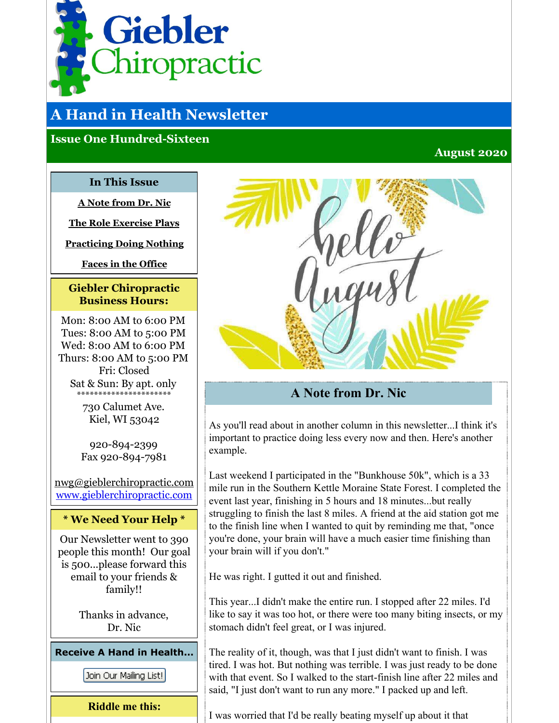<span id="page-0-0"></span>

# **A Hand in Health Newsletter**

## **Issue One Hundred-Sixteen**

#### **August 2020**

#### **In This Issue**

**A Note [from](#page-0-0) Dr. Nic**

**The Role [Exercise](#page-0-0) Plays**

**[Practicing](#page-0-0) Doing Nothing**

**[Faces](#page-0-0) in the Office**

#### **Giebler Chiropractic Business Hours:**

Mon: 8:00 AM to 6:00 PM Tues: 8:00 AM to 5:00 PM Wed: 8:00 AM to 6:00 PM Thurs: 8:00 AM to 5:00 PM Fri: Closed Sat & Sun: By apt. only \*\*\*\*\*\*\*\*\*\*\*\*\*\*\*\*\*\*\*\*\*\*

> 730 Calumet Ave. Kiel, WI 53042

920-894-2399 Fax 920-894-7981

nwg@gieblerchiropractic.com [www.gieblerchiropractic.com](http://www.gieblerchiropractic.com)

#### **\* We Need Your Help \***

Our Newsletter went to 390 people this month! Our goal is 500...please forward this email to your friends & family!!

> Thanks in advance, Dr. Nic

**Receive A Hand in Health...**

Join Our Mailing List!

**Riddle me this:**



# **A Note from Dr. Nic**

As you'll read about in another column in this newsletter...I think it's important to practice doing less every now and then. Here's another example.

Last weekend I participated in the "Bunkhouse 50k", which is a 33 mile run in the Southern Kettle Moraine State Forest. I completed the event last year, finishing in 5 hours and 18 minutes...but really struggling to finish the last 8 miles. A friend at the aid station got me to the finish line when I wanted to quit by reminding me that, "once you're done, your brain will have a much easier time finishing than your brain will if you don't."

He was right. I gutted it out and finished.

This year...I didn't make the entire run. I stopped after 22 miles. I'd like to say it was too hot, or there were too many biting insects, or my stomach didn't feel great, or I was injured.

The reality of it, though, was that I just didn't want to finish. I was tired. I was hot. But nothing was terrible. I was just ready to be done with that event. So I walked to the start-finish line after 22 miles and said, "I just don't want to run any more." I packed up and left.

I was worried that I'd be really beating myself up about it that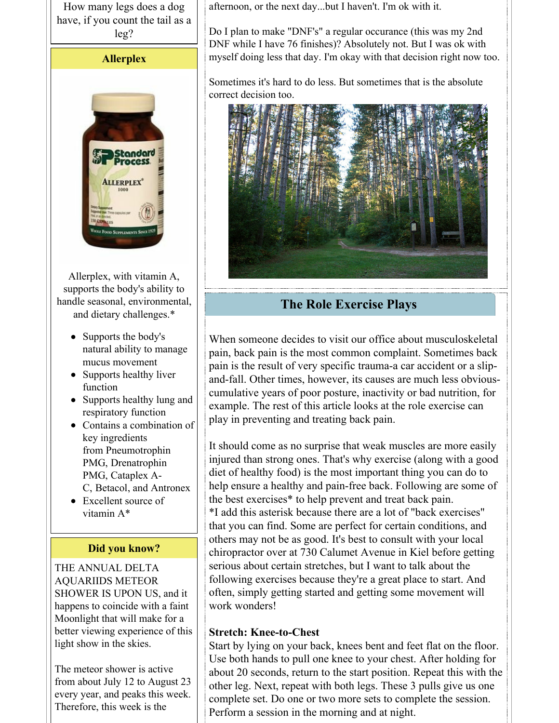How many legs does a dog have, if you count the tail as a leg?

#### **Allerplex**



Allerplex, with vitamin A, supports the body's ability to handle seasonal, environmental, and dietary challenges.\*

- Supports the body's natural ability to manage mucus movement
- Supports healthy liver function
- Supports healthy lung and respiratory function
- Contains a combination of key ingredients from Pneumotrophin PMG, Drenatrophin PMG, Cataplex A-C, Betacol, and Antronex
- Excellent source of vitamin A\*

#### **Did you know?**

THE ANNUAL DELTA AQUARIIDS METEOR SHOWER IS UPON US, and it happens to coincide with a faint Moonlight that will make for a better viewing experience of this light show in the skies.

The meteor shower is active from about July 12 to August 23 every year, and peaks this week. Therefore, this week is the

afternoon, or the next day...but I haven't. I'm ok with it.

Do I plan to make "DNF's" a regular occurance (this was my 2nd DNF while I have 76 finishes)? Absolutely not. But I was ok with myself doing less that day. I'm okay with that decision right now too.

Sometimes it's hard to do less. But sometimes that is the absolute correct decision too.



# **The Role Exercise Plays**

When someone decides to visit our office about musculoskeletal pain, back pain is the most common complaint. Sometimes back pain is the result of very specific trauma-a car accident or a slipand-fall. Other times, however, its causes are much less obviouscumulative years of poor posture, inactivity or bad nutrition, for example. The rest of this article looks at the role exercise can play in preventing and treating back pain.

It should come as no surprise that weak muscles are more easily injured than strong ones. That's why exercise (along with a good diet of healthy food) is the most important thing you can do to help ensure a healthy and pain-free back. Following are some of the best exercises\* to help prevent and treat back pain. \*I add this asterisk because there are a lot of "back exercises" that you can find. Some are perfect for certain conditions, and others may not be as good. It's best to consult with your local chiropractor over at 730 Calumet Avenue in Kiel before getting serious about certain stretches, but I want to talk about the following exercises because they're a great place to start. And often, simply getting started and getting some movement will work wonders!

## **Stretch: Knee-to-Chest**

Start by lying on your back, knees bent and feet flat on the floor. Use both hands to pull one knee to your chest. After holding for about 20 seconds, return to the start position. Repeat this with the other leg. Next, repeat with both legs. These 3 pulls give us one complete set. Do one or two more sets to complete the session. Perform a session in the morning and at night.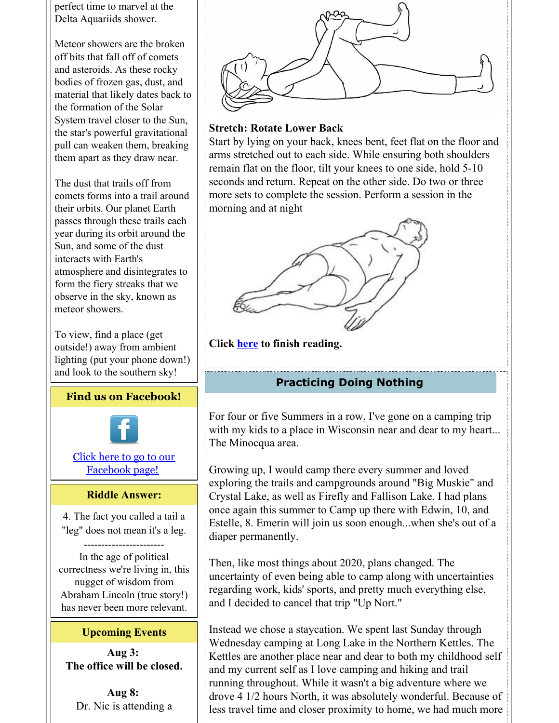perfect time to marvel at the Delta Aquariids shower.

Meteor showers are the broken off bits that fall off of comets and asteroids. As these rocky bodies of frozen gas, dust, and material that likely dates back to the formation of the Solar System travel closer to the Sun, the star's powerful gravitational pull can weaken them, breaking them apart as they draw near.

The dust that trails off from comets forms into a trail around their orbits. Our planet Earth passes through these trails each year during its orbit around the Sun, and some of the dust interacts with Earth's atmosphere and disintegrates to form the fiery streaks that we observe in the sky, known as meteor showers.

To view, find a place (get outside!) away from ambient lighting (put your phone down!) and look to the southern sky!

#### **Find us on Facebook!**



## Click here to go to our [Facebook](http://www.facebook.com/pages/Giebler-Chiropractic/218099108202339) page!

#### **Riddle Answer:**

4. The fact you called a tail a "leg" does not mean it's a leg.

----------------------- In the age of political correctness we're living in, this nugget of wisdom from Abraham Lincoln (true story!) has never been more relevant.

#### **Upcoming Events**

**Aug 3: The office will be closed.**

**Aug 8:** Dr. Nic is attending a



## **Stretch: Rotate Lower Back**

Start by lying on your back, knees bent, feet flat on the floor and arms stretched out to each side. While ensuring both shoulders remain flat on the floor, tilt your knees to one side, hold 5-10 seconds and return. Repeat on the other side. Do two or three more sets to complete the session. Perform a session in the morning and at night



**Click [here](https://gieblerchiropractic.blogspot.com/2020/07/the-role-exercise-plays.html) to finish reading.**

# **Practicing Doing Nothing**

For four or five Summers in a row, I've gone on a camping trip with my kids to a place in Wisconsin near and dear to my heart... The Minocqua area.

Growing up, I would camp there every summer and loved exploring the trails and campgrounds around "Big Muskie" and Crystal Lake, as well as Firefly and Fallison Lake. I had plans once again this summer to Camp up there with Edwin, 10, and Estelle, 8. Emerin will join us soon enough...when she's out of a diaper permanently.

Then, like most things about 2020, plans changed. The uncertainty of even being able to camp along with uncertainties regarding work, kids' sports, and pretty much everything else, and I decided to cancel that trip "Up Nort."

Instead we chose a staycation. We spent last Sunday through Wednesday camping at Long Lake in the Northern Kettles. The Kettles are another place near and dear to both my childhood self and my current self as I love camping and hiking and trail running throughout. While it wasn't a big adventure where we drove 4 1/2 hours North, it was absolutely wonderful. Because of less travel time and closer proximity to home, we had much more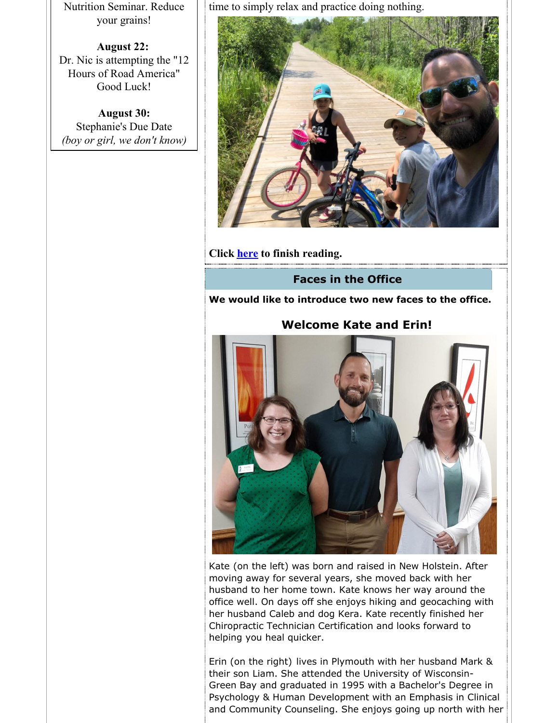Nutrition Seminar. Reduce your grains!

**August 22:** Dr. Nic is attempting the "12 Hours of Road America" Good Luck!

**August 30:** Stephanie's Due Date *(boy or girl, we don't know)* time to simply relax and practice doing nothing.



**Click [here](https://gieblerchiropractic.blogspot.com/2020/07/practicing-doing-nothing.html) to finish reading.**

#### **Faces in the Office**

**We would like to introduce two new faces to the office.**

#### **Welcome Kate and Erin!**



Kate (on the left) was born and raised in New Holstein. After moving away for several years, she moved back with her husband to her home town. Kate knows her way around the office well. On days off she enjoys hiking and geocaching with her husband Caleb and dog Kera. Kate recently finished her Chiropractic Technician Certification and looks forward to helping you heal quicker.

Erin (on the right) lives in Plymouth with her husband Mark & their son Liam. She attended the University of Wisconsin-Green Bay and graduated in 1995 with a Bachelor's Degree in Psychology & Human Development with an Emphasis in Clinical and Community Counseling. She enjoys going up north with her